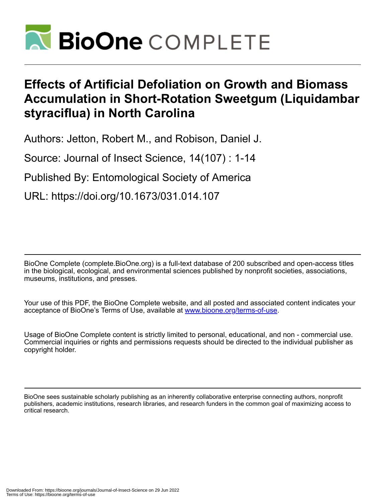

# **Effects of Artificial Defoliation on Growth and Biomass Accumulation in Short-Rotation Sweetgum (Liquidambar styraciflua) in North Carolina**

Authors: Jetton, Robert M., and Robison, Daniel J.

Source: Journal of Insect Science, 14(107) : 1-14

Published By: Entomological Society of America

URL: https://doi.org/10.1673/031.014.107

BioOne Complete (complete.BioOne.org) is a full-text database of 200 subscribed and open-access titles in the biological, ecological, and environmental sciences published by nonprofit societies, associations, museums, institutions, and presses.

Your use of this PDF, the BioOne Complete website, and all posted and associated content indicates your acceptance of BioOne's Terms of Use, available at www.bioone.org/terms-of-use.

Usage of BioOne Complete content is strictly limited to personal, educational, and non - commercial use. Commercial inquiries or rights and permissions requests should be directed to the individual publisher as copyright holder.

BioOne sees sustainable scholarly publishing as an inherently collaborative enterprise connecting authors, nonprofit publishers, academic institutions, research libraries, and research funders in the common goal of maximizing access to critical research.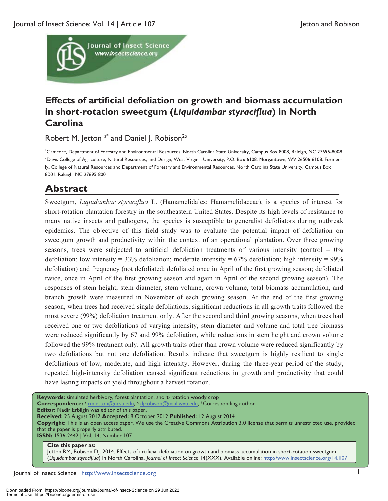

## **Effects of artificial defoliation on growth and biomass accumulation in short-rotation sweetgum (***Liquidambar styraciflua***) in North Carolina**

Robert M. Jetton<sup>1a\*</sup> and Daniel J. Robison<sup>2b</sup>

1 Camcore, Department of Forestry and Environmental Resources, North Carolina State University, Campus Box 8008, Raleigh, NC 27695-8008 2 Davis College of Agriculture, Natural Resources, and Design, West Virginia University, P.O. Box 6108, Morgantown, WV 26506-6108. Formerly, College of Natural Resources and Department of Forestry and Environmental Resources, North Carolina State University, Campus Box 8001, Raleigh, NC 27695-8001

## **Abstract**

Sweetgum, *Liquidambar styraciflua* L. (Hamamelidales: Hamamelidaceae), is a species of interest for short-rotation plantation forestry in the southeastern United States. Despite its high levels of resistance to many native insects and pathogens, the species is susceptible to generalist defoliators during outbreak epidemics. The objective of this field study was to evaluate the potential impact of defoliation on sweetgum growth and productivity within the context of an operational plantation. Over three growing seasons, trees were subjected to artificial defoliation treatments of various intensity (control =  $0\%$ ) defoliation; low intensity =  $33\%$  defoliation; moderate intensity =  $67\%$  defoliation; high intensity =  $99\%$ defoliation) and frequency (not defoliated; defoliated once in April of the first growing season; defoliated twice, once in April of the first growing season and again in April of the second growing season). The responses of stem height, stem diameter, stem volume, crown volume, total biomass accumulation, and branch growth were measured in November of each growing season. At the end of the first growing season, when trees had received single defoliations, significant reductions in all growth traits followed the most severe (99%) defoliation treatment only. After the second and third growing seasons, when trees had received one or two defoliations of varying intensity, stem diameter and volume and total tree biomass were reduced significantly by 67 and 99% defoliation, while reductions in stem height and crown volume followed the 99% treatment only. All growth traits other than crown volume were reduced significantly by two defoliations but not one defoliation. Results indicate that sweetgum is highly resilient to single defoliations of low, moderate, and high intensity. However, during the three-year period of the study, repeated high-intensity defoliation caused significant reductions in growth and productivity that could have lasting impacts on yield throughout a harvest rotation.

**Keywords:** simulated herbivory, forest plantation, short-rotation woody crop **Correspondence:** <sup>a</sup> rmjetton@ncsu.edu, b djrobison@mail.wvu.edu, \*Corresponding author **Editor:** Nadir Erbilgin was editor of this paper. **Received:** 25 August 2012 **Accepted:** 8 October 2012 **Published:** 12 August 2014 **Copyright:** This is an open access paper. We use the Creative Commons Attribution 3.0 license that permits unrestricted use, provided that the paper is properly attributed. **ISSN:** 1536-2442 | Vol. 14, Number 107

#### **Cite this paper as:**

Jetton RM, Robison DJ. 2014. Effects of artificial defoliation on growth and biomass accumulation in short-rotation sweetgum (*Liquidambar styraciflua*) in North Carolina. *Journal of Insect Science* 14(XXX). Available online: http://www.insectscience.org/14.107

Journal of Insect Science | http://www.insectscience.org 1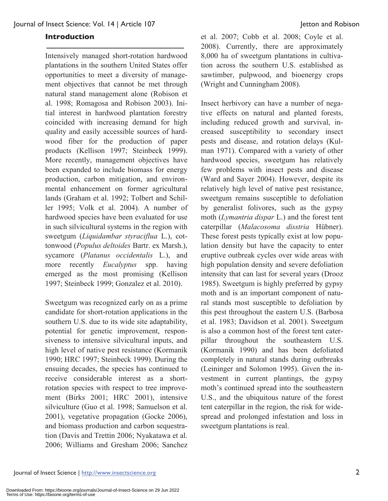## **Introduction**

Intensively managed short-rotation hardwood plantations in the southern United States offer opportunities to meet a diversity of management objectives that cannot be met through natural stand management alone (Robison et al. 1998; Romagosa and Robison 2003). Initial interest in hardwood plantation forestry coincided with increasing demand for high quality and easily accessible sources of hardwood fiber for the production of paper products (Kellison 1997; Steinbeck 1999). More recently, management objectives have been expanded to include biomass for energy production, carbon mitigation, and environmental enhancement on former agricultural lands (Graham et al. 1992; Tolbert and Schiller 1995; Volk et al. 2004). A number of hardwood species have been evaluated for use in such silvicultural systems in the region with sweetgum (*Liquidambar styraciflua* L.), cottonwood (*Populus deltoides* Bartr. ex Marsh.), sycamore (*Platanus occidentalis* L.), and more recently *Eucalyptus* spp. having emerged as the most promising (Kellison 1997; Steinbeck 1999; Gonzalez et al. 2010).

Sweetgum was recognized early on as a prime candidate for short-rotation applications in the southern U.S. due to its wide site adaptability, potential for genetic improvement, responsiveness to intensive silvicultural inputs, and high level of native pest resistance (Kormanik 1990; HRC 1997; Steinbeck 1999). During the ensuing decades, the species has continued to receive considerable interest as a shortrotation species with respect to tree improvement (Birks 2001; HRC 2001), intensive silviculture (Guo et al. 1998; Samuelson et al. 2001), vegetative propagation (Gocke 2006), and biomass production and carbon sequestration (Davis and Trettin 2006; Nyakatawa et al. 2006; Williams and Gresham 2006; Sanchez

et al. 2007; Cobb et al. 2008; Coyle et al. 2008). Currently, there are approximately 8,000 ha of sweetgum plantations in cultivation across the southern U.S. established as sawtimber, pulpwood, and bioenergy crops (Wright and Cunningham 2008).

Insect herbivory can have a number of negative effects on natural and planted forests, including reduced growth and survival, increased susceptibility to secondary insect pests and disease, and rotation delays (Kulman 1971). Compared with a variety of other hardwood species, sweetgum has relatively few problems with insect pests and disease (Ward and Sayer 2004). However, despite its relatively high level of native pest resistance, sweetgum remains susceptible to defoliation by generalist folivores, such as the gypsy moth (*Lymantria dispar* L.) and the forest tent caterpillar (*Malacosoma disstria* Hübner). These forest pests typically exist at low population density but have the capacity to enter eruptive outbreak cycles over wide areas with high population density and severe defoliation intensity that can last for several years (Drooz 1985). Sweetgum is highly preferred by gypsy moth and is an important component of natural stands most susceptible to defoliation by this pest throughout the eastern U.S. (Barbosa et al. 1983; Davidson et al. 2001). Sweetgum is also a common host of the forest tent caterpillar throughout the southeastern U.S. (Kormanik 1990) and has been defoliated completely in natural stands during outbreaks (Leininger and Solomon 1995). Given the investment in current plantings, the gypsy moth's continued spread into the southeastern U.S., and the ubiquitous nature of the forest tent caterpillar in the region, the risk for widespread and prolonged infestation and loss in sweetgum plantations is real.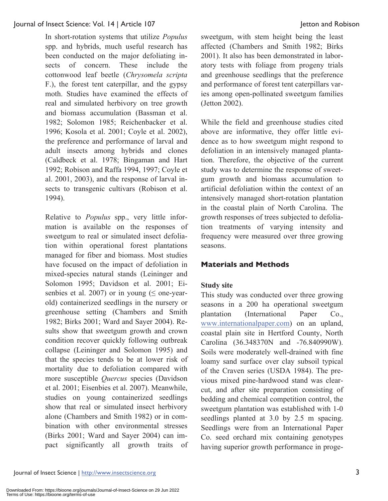In short-rotation systems that utilize *Populus* spp. and hybrids, much useful research has been conducted on the major defoliating insects of concern. These include the cottonwood leaf beetle (*Chrysomela scripta* F.), the forest tent caterpillar, and the gypsy moth. Studies have examined the effects of real and simulated herbivory on tree growth and biomass accumulation (Bassman et al. 1982; Solomon 1985; Reichenbacker et al. 1996; Kosola et al. 2001; Coyle et al. 2002), the preference and performance of larval and adult insects among hybrids and clones (Caldbeck et al. 1978; Bingaman and Hart 1992; Robison and Raffa 1994, 1997; Coyle et al. 2001, 2003), and the response of larval insects to transgenic cultivars (Robison et al. 1994).

Relative to *Populus* spp., very little information is available on the responses of sweetgum to real or simulated insect defoliation within operational forest plantations managed for fiber and biomass. Most studies have focused on the impact of defoliation in mixed-species natural stands (Leininger and Solomon 1995; Davidson et al. 2001; Eisenbies et al. 2007) or in young ( $\leq$  one-yearold) containerized seedlings in the nursery or greenhouse setting (Chambers and Smith 1982; Birks 2001; Ward and Sayer 2004). Results show that sweetgum growth and crown condition recover quickly following outbreak collapse (Leininger and Solomon 1995) and that the species tends to be at lower risk of mortality due to defoliation compared with more susceptible *Quercus* species (Davidson et al. 2001; Eisenbies et al. 2007). Meanwhile, studies on young containerized seedlings show that real or simulated insect herbivory alone (Chambers and Smith 1982) or in combination with other environmental stresses (Birks 2001; Ward and Sayer 2004) can impact significantly all growth traits of sweetgum, with stem height being the least affected (Chambers and Smith 1982; Birks 2001). It also has been demonstrated in laboratory tests with foliage from progeny trials and greenhouse seedlings that the preference and performance of forest tent caterpillars varies among open-pollinated sweetgum families (Jetton 2002).

While the field and greenhouse studies cited above are informative, they offer little evidence as to how sweetgum might respond to defoliation in an intensively managed plantation. Therefore, the objective of the current study was to determine the response of sweetgum growth and biomass accumulation to artificial defoliation within the context of an intensively managed short-rotation plantation in the coastal plain of North Carolina. The growth responses of trees subjected to defoliation treatments of varying intensity and frequency were measured over three growing seasons.

## **Materials and Methods**

## **Study site**

This study was conducted over three growing seasons in a 200 ha operational sweetgum plantation (International Paper Co., www.internationalpaper.com) on an upland, coastal plain site in Hertford County, North Carolina (36.348370N and -76.840990W). Soils were moderately well-drained with fine loamy sand surface over clay subsoil typical of the Craven series (USDA 1984). The previous mixed pine-hardwood stand was clearcut, and after site preparation consisting of bedding and chemical competition control, the sweetgum plantation was established with 1-0 seedlings planted at 3.0 by 2.5 m spacing. Seedlings were from an International Paper Co. seed orchard mix containing genotypes having superior growth performance in proge-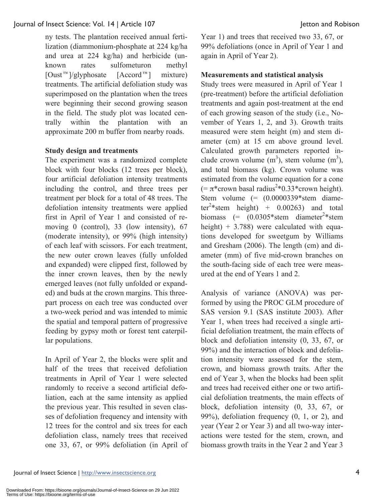ny tests. The plantation received annual fertilization (diammonium-phosphate at 224 kg/ha and urea at 224 kg/ha) and herbicide (unknown rates sulfometuron methyl [Oust™]/glyphosate [Accord™] mixture) treatments. The artificial defoliation study was superimposed on the plantation when the trees were beginning their second growing season in the field. The study plot was located centrally within the plantation with an approximate 200 m buffer from nearby roads.

## **Study design and treatments**

The experiment was a randomized complete block with four blocks (12 trees per block), four artificial defoliation intensity treatments including the control, and three trees per treatment per block for a total of 48 trees. The defoliation intensity treatments were applied first in April of Year 1 and consisted of removing 0 (control), 33 (low intensity), 67 (moderate intensity), or 99% (high intensity) of each leaf with scissors. For each treatment, the new outer crown leaves (fully unfolded and expanded) were clipped first, followed by the inner crown leaves, then by the newly emerged leaves (not fully unfolded or expanded) and buds at the crown margins. This threepart process on each tree was conducted over a two-week period and was intended to mimic the spatial and temporal pattern of progressive feeding by gypsy moth or forest tent caterpillar populations.

In April of Year 2, the blocks were split and half of the trees that received defoliation treatments in April of Year 1 were selected randomly to receive a second artificial defoliation, each at the same intensity as applied the previous year. This resulted in seven classes of defoliation frequency and intensity with 12 trees for the control and six trees for each defoliation class, namely trees that received one 33, 67, or 99% defoliation (in April of

Year 1) and trees that received two 33, 67, or 99% defoliations (once in April of Year 1 and again in April of Year 2).

## **Measurements and statistical analysis**

Study trees were measured in April of Year 1 (pre-treatment) before the artificial defoliation treatments and again post-treatment at the end of each growing season of the study (i.e., November of Years 1, 2, and 3). Growth traits measured were stem height (m) and stem diameter (cm) at 15 cm above ground level. Calculated growth parameters reported include crown volume  $(m^3)$ , stem volume  $(m^3)$ , and total biomass (kg). Crown volume was estimated from the volume equation for a cone  $(=\pi^*$ crown basal radius<sup>2</sup>\*0.33\*crown height). Stem volume  $(=(0.0000339)$ \*stem diameter<sup>2</sup>\*stem height) +  $0.00263$ ) and total biomass  $(= (0.0305*stem \text{ diameter}^2*stem)$ height)  $+ 3.788$ ) were calculated with equations developed for sweetgum by Williams and Gresham (2006). The length (cm) and diameter (mm) of five mid-crown branches on the south-facing side of each tree were measured at the end of Years 1 and 2.

Analysis of variance (ANOVA) was performed by using the PROC GLM procedure of SAS version 9.1 (SAS institute 2003). After Year 1, when trees had received a single artificial defoliation treatment, the main effects of block and defoliation intensity (0, 33, 67, or 99%) and the interaction of block and defoliation intensity were assessed for the stem, crown, and biomass growth traits. After the end of Year 3, when the blocks had been split and trees had received either one or two artificial defoliation treatments, the main effects of block, defoliation intensity (0, 33, 67, or 99%), defoliation frequency (0, 1, or 2), and year (Year 2 or Year 3) and all two-way interactions were tested for the stem, crown, and biomass growth traits in the Year 2 and Year 3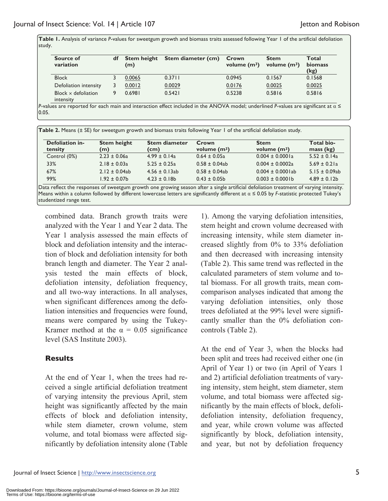**Table 1.** Analysis of variance *P*-values for sweetgum growth and biomass traits assessed following Year 1 of the artificial defoliation study.

| Source of<br>variation                  | df | <b>Stem height</b><br>(m) | Stem diameter (cm) | Crown<br>volume $(m^3)$ | <b>Stem</b><br>volume $(m^3)$ | Total<br>biomass<br>(kg) |
|-----------------------------------------|----|---------------------------|--------------------|-------------------------|-------------------------------|--------------------------|
| <b>Block</b>                            |    | 0.0065                    | 0.3711             | 0.0945                  | 0.1567                        | 0.1568                   |
| Defoliation intensity                   |    | 0.0012                    | 0.0029             | 0.0176                  | 0.0025                        | 0.0025                   |
| Block $\times$ defoliation<br>intensity |    | 0.6981                    | 0.5421             | 0.5238                  | 0.5816                        | 0.5816                   |

*P*-values are reported for each main and interaction effect included in the ANOVA model; underlined *P*-values are significant at α ≤  $|0.05.$ 

| Table 2. Means (± SE) for sweetgum growth and biomass traits following Year 1 of the artificial defoliation study. |                           |                              |                         |                               |                         |  |  |
|--------------------------------------------------------------------------------------------------------------------|---------------------------|------------------------------|-------------------------|-------------------------------|-------------------------|--|--|
| Defoliation in-<br>tensity                                                                                         | <b>Stem height</b><br>(m) | <b>Stem diameter</b><br>(cm) | Crown<br>volume $(m^3)$ | <b>Stem</b><br>volume $(m^3)$ | Total bio-<br>mass (kg) |  |  |
| Control (0%)                                                                                                       | $2.23 \pm 0.06a$          | $4.99 \pm 0.14a$             | $0.64 \pm 0.05a$        | $0.004 \pm 0.0001a$           | $5.52 \pm 0.14a$        |  |  |
| 33%                                                                                                                | $2.18 \pm 0.03a$          | $5.25 \pm 0.25a$             | $0.58 \pm 0.04$ ab      | $0.004 \pm 0.0002a$           | $5.69 \pm 0.21a$        |  |  |
| 67%                                                                                                                | $2.12 \pm 0.04ab$         | $4.56 \pm 0.13$ ab           | $0.58 \pm 0.04ab$       | $0.004 \pm 0.0001$ ab         | $5.15 \pm 0.09ab$       |  |  |
| 99%                                                                                                                | $1.92 \pm 0.07$ b         | $4.23 \pm 0.18$ b            | $0.43 \pm 0.05$ b       | $0.003 \pm 0.0001$ b          | $4.89 \pm 0.12b$        |  |  |

Data reflect the responses of sweetgum growth one growing season after a single artificial defoliation treatment of varying intensity. Means within a column followed by different lowercase letters are significantly different at α ≤ 0.05 by *F*-statistic protected Tukey's studentized range test.

combined data. Branch growth traits were analyzed with the Year 1 and Year 2 data. The Year 1 analysis assessed the main effects of block and defoliation intensity and the interaction of block and defoliation intensity for both branch length and diameter. The Year 2 analysis tested the main effects of block, defoliation intensity, defoliation frequency, and all two-way interactions. In all analyses, when significant differences among the defoliation intensities and frequencies were found, means were compared by using the Tukey-Kramer method at the  $\alpha = 0.05$  significance level (SAS Institute 2003).

## **Results**

At the end of Year 1, when the trees had received a single artificial defoliation treatment of varying intensity the previous April, stem height was significantly affected by the main effects of block and defoliation intensity, while stem diameter, crown volume, stem volume, and total biomass were affected significantly by defoliation intensity alone (Table

1). Among the varying defoliation intensities, stem height and crown volume decreased with increasing intensity, while stem diameter increased slightly from 0% to 33% defoliation and then decreased with increasing intensity (Table 2). This same trend was reflected in the calculated parameters of stem volume and total biomass. For all growth traits, mean comcomparison analyses indicated that among the varying defoliation intensities, only those trees defoliated at the 99% level were significantly smaller than the 0% defoliation concontrols (Table 2).

At the end of Year 3, when the blocks had been split and trees had received either one (in April of Year 1) or two (in April of Years 1 and 2) artificial defoliation treatments of varying intensity, stem height, stem diameter, stem volume, and total biomass were affected significantly by the main effects of block, defolidefoliation intensity, defoliation frequency, and year, while crown volume was affected significantly by block, defoliation intensity, and year, but not by defoliation frequency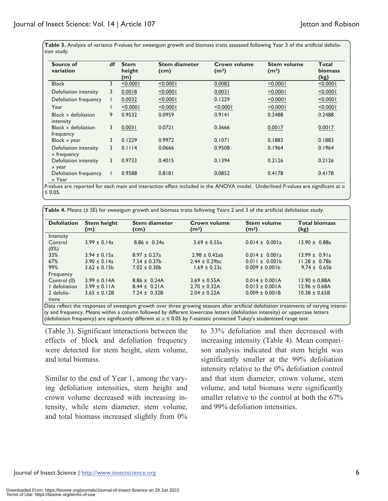**Table 3.** Analysis of variance *P*-values for sweetgum growth and biomass traits assessed following Year 3 of the artificial defoliation study.

| Source of<br>variation                      | df             | <b>Stem</b><br>height<br>(m) | <b>Stem diameter</b><br>(cm) | Crown volume<br>(m <sup>3</sup> ) | <b>Stem volume</b><br>(m <sup>3</sup> ) | <b>Total</b><br>biomass<br>(kg) |
|---------------------------------------------|----------------|------------------------------|------------------------------|-----------------------------------|-----------------------------------------|---------------------------------|
| <b>Block</b>                                | 3              | < 0.0001                     | < 0.0001                     | 0.0082                            | < 0.0001                                | < 0.0001                        |
| Defoliation intensity                       | 3              | 0.0018                       | < 0.0001                     | 0.0031                            | < 0.0001                                | < 0.0001                        |
| Defoliation frequency                       |                | 0.0032                       | < 0.0001                     | 0.1229                            | < 0.0001                                | < 0.0001                        |
| Year                                        |                | < 0.0001                     | < 0.0001                     | < 0.0001                          | < 0.0001                                | < 0.0001                        |
| Block $\times$ defoliation<br>intensity     | 9              | 0.9532                       | 0.0959                       | 0.9141                            | 0.2488                                  | 0.2488                          |
| Block $\times$ defoliation<br>frequency     | 3              | 0.0031                       | 0.0721                       | 0.3666                            | 0.0017                                  | 0.0017                          |
| Block $\times$ year                         | 3              | 0.1229                       | 0.9972                       | 0.1071                            | 0.1883                                  | 0.1883                          |
| Defoliation intensity<br>$\times$ frequency | 3              | 0.1114                       | 0.0666                       | 0.9508                            | 0.1964                                  | 0.1964                          |
| Defoliation intensity<br>$\times$ year      | $\overline{3}$ | 0.9733                       | 0.4015                       | 0.1394                            | 0.2126                                  | 0.2126                          |
| Defoliation frequency<br>$\times$ Year      |                | 0.9588                       | 0.8181                       | 0.0852                            | 0.4178                                  | 0.4178                          |

*P*-values are reported for each main and interaction effect included in the ANOVA model. Underlined *P*-values are significant at α ≤ 0.05.

**Table 4.** Means (± SE) for sweetgum growth and biomass traits following Years 2 and 3 of the artificial defoliation study.

| <b>Defoliation</b>  | <b>Stem height</b><br>(m) | <b>Stem diameter</b><br>(cm) | Crown volume<br>(m <sup>3</sup> ) | <b>Stem volume</b><br>(m <sup>3</sup> ) | <b>Total biomass</b><br>(kg) |
|---------------------|---------------------------|------------------------------|-----------------------------------|-----------------------------------------|------------------------------|
| Intensity           |                           |                              |                                   |                                         |                              |
| Control<br>(0%)     | $3.99 \pm 0.14a$          | $8.86 \pm 0.24a$             | $3.69 \pm 0.55a$                  | $0.014 \pm 0.001a$                      | $13.90 \pm 0.88a$            |
| 33%                 | $3.94 \pm 0.15a$          | $8.97 \pm 0.27$ a            | $2.98 \pm 0.42$ ab                | $0.014 \pm 0.001a$                      | $13.99 \pm 0.91a$            |
| 67%                 | $3.90 \pm 0.14a$          | $7.54 \pm 0.37$ b            | $2.44 \pm 0.29$ bc                | $0.011 \pm 0.001$                       | $11.28 \pm 0.78$             |
| 99%<br>Frequency    | $3.62 \pm 0.15$           | $7.02 \pm 0.30$              | $1.69 \pm 0.23c$                  | $0.009 \pm 0.001$ b                     | $9.74 \pm 0.65$              |
| Control (0)         | $3.99 \pm 0.14$ A         | $8.86 \pm 0.24$ A            | $3.69 \pm 0.55A$                  | $0.014 \pm 0.001$ A                     | $13.90 \pm 0.88$ A           |
| I defoliation       | $3.99 \pm 0.11$ A         | $8.44 \pm 0.21$ A            | $2.70 \pm 0.32$ A                 | $0.013 \pm 0.001$ A                     | $12.96 \pm 0.68$ A           |
| 2 defolia-<br>tions | $3.65 \pm 0.12B$          | $7.24 \pm 0.32B$             | $2.04 \pm 0.22$ A                 | $0.009 \pm 0.001B$                      | $10.38 \pm 0.65B$            |

Data reflect the responses of sweetgum growth over three growing seasons after artificial defoliation treatments of varying intensity and frequency. Means within a column followed by different lowercase letters (defoliation intensity) or uppercase letters (defoliation frequency) are significantly different at α ≤ 0.05 by *F*-statistic protected Tukey's studentized range test.

(Table 3). Significant interactions between the effects of block and defoliation frequency were detected for stem height, stem volume, and total biomass.

Similar to the end of Year 1, among the varying defoliation intensities, stem height and crown volume decreased with increasing intensity, while stem diameter, stem volume, and total biomass increased slightly from 0% to 33% defoliation and then decreased with increasing intensity (Table 4). Mean comparison analysis indicated that stem height was significantly smaller at the 99% defoliation intensity relative to the 0% defoliation control and that stem diameter, crown volume, stem volume, and total biomass were significantly smaller relative to the control at both the 67% and 99% defoliation intensities.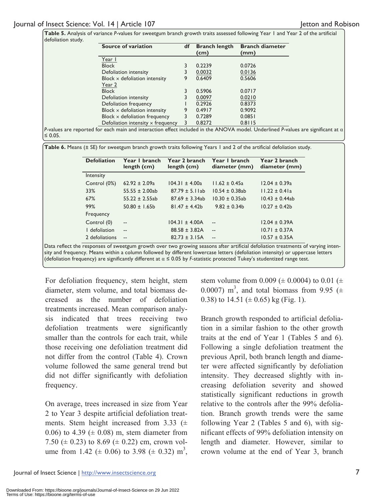**Table 5.** Analysis of variance *P*-values for sweetgum branch growth traits assessed following Year 1 and Year 2 of the artificial defoliation study.

| Source of variation                      | df | <b>Branch length</b><br>(cm) | <b>Branch diameter</b><br>(mm) |
|------------------------------------------|----|------------------------------|--------------------------------|
| Year I                                   |    |                              |                                |
| <b>Block</b>                             |    | 0.2239                       | 0.0726                         |
| Defoliation intensity                    |    | 0.0032                       | 0.0136                         |
| Block $\times$ defoliation intensity     | 9  | 0.6409                       | 0.5606                         |
| Year 2                                   |    |                              |                                |
| <b>Block</b>                             |    | 0.5906                       | 0.0717                         |
| Defoliation intensity                    |    | 0.0097                       | 0.0210                         |
| Defoliation frequency                    |    | 0.2926                       | 0.8373                         |
| Block $\times$ defoliation intensity     | 9  | 0.4917                       | 0.9092                         |
| Block $\times$ defoliation frequency     | 3  | 0.7289                       | 0.0851                         |
| Defoliation intensity $\times$ frequency | 3  | 0.8272                       | 0.8115                         |

*P*-values are reported for each main and interaction effect included in the ANOVA model. Underlined *P*-values are significant at α ≤ 0.05.

**Table 6.** Means (± SE) for sweetgum branch growth traits following Years 1 and 2 of the artificial defoliation study.

| $62.92 \pm 2.09a$<br>$12.04 \pm 0.39a$<br>$104.31 \pm 4.00a$<br>$11.62 \pm 0.45a$<br>$55.55 \pm 2.00ab$<br>$87.79 \pm 5.1$ lab<br>$11.22 \pm 0.41a$<br>$10.54 \pm 0.38$ ab<br>$55.22 \pm 2.55ab$<br>$87.69 \pm 3.34ab$<br>$10.30 \pm 0.35$ ab<br>$50.80 \pm 1.65$ b<br>$9.82 \pm 0.34$<br>$10.27 \pm 0.42$<br>$81.47 \pm 4.42b$<br>$104.31 \pm 4.00A$<br>$12.04 \pm 0.39A$<br>$-$<br>$\overline{a}$<br>$10.71 \pm 0.37A$<br>$88.58 \pm 3.82$ A<br>$\overline{a}$<br>$\overline{a}$ | <b>Defoliation</b> | Year I branch<br>length (cm) | Year 2 branch<br>length (cm) | Year I branch<br>diameter (mm) | Year 2 branch<br>diameter (mm) |
|------------------------------------------------------------------------------------------------------------------------------------------------------------------------------------------------------------------------------------------------------------------------------------------------------------------------------------------------------------------------------------------------------------------------------------------------------------------------------------|--------------------|------------------------------|------------------------------|--------------------------------|--------------------------------|
|                                                                                                                                                                                                                                                                                                                                                                                                                                                                                    | Intensity          |                              |                              |                                |                                |
|                                                                                                                                                                                                                                                                                                                                                                                                                                                                                    | Control (0%)       |                              |                              |                                |                                |
|                                                                                                                                                                                                                                                                                                                                                                                                                                                                                    | 33%                |                              |                              |                                |                                |
|                                                                                                                                                                                                                                                                                                                                                                                                                                                                                    | 67%                |                              |                              |                                | $10.43 \pm 0.44ab$             |
|                                                                                                                                                                                                                                                                                                                                                                                                                                                                                    | 99%                |                              |                              |                                |                                |
|                                                                                                                                                                                                                                                                                                                                                                                                                                                                                    | Frequency          |                              |                              |                                |                                |
|                                                                                                                                                                                                                                                                                                                                                                                                                                                                                    | Control (0)        |                              |                              |                                |                                |
|                                                                                                                                                                                                                                                                                                                                                                                                                                                                                    | I defoliation      |                              |                              |                                |                                |
| $82.73 \pm 3.15A$<br>$10.57 \pm 0.35A$<br>$-$<br>$\sim$                                                                                                                                                                                                                                                                                                                                                                                                                            | 2 defoliations     |                              |                              |                                |                                |

Data reflect the responses of sweetgum growth over two growing seasons after artificial defoliation treatments of varying intensity and frequency. Means within a column followed by different lowercase letters (defoliation intensity) or uppercase letters (defoliation frequency) are significantly different at α ≤ 0.05 by *F*-statistic protected Tukey's studentized range test.

For defoliation frequency, stem height, stem diameter, stem volume, and total biomass decreased as the number of defoliation treatments increased. Mean comparison analysis indicated that trees receiving two defoliation treatments were significantly smaller than the controls for each trait, while those receiving one defoliation treatment did not differ from the control (Table 4). Crown volume followed the same general trend but did not differ significantly with defoliation frequency.

On average, trees increased in size from Year 2 to Year 3 despite artificial defoliation treatments. Stem height increased from 3.33  $(\pm$ 0.06) to 4.39 ( $\pm$  0.08) m, stem diameter from 7.50 ( $\pm$  0.23) to 8.69 ( $\pm$  0.22) cm, crown volume from 1.42 ( $\pm$  0.06) to 3.98 ( $\pm$  0.32) m<sup>3</sup>, stem volume from 0.009 ( $\pm$  0.0004) to 0.01 ( $\pm$ 0.0007) m<sup>3</sup>, and total biomass from 9.95 ( $\pm$ 0.38) to  $14.51 \ (\pm 0.65) \ \text{kg (Fig. 1)}$ .

Branch growth responded to artificial defoliation in a similar fashion to the other growth traits at the end of Year 1 (Tables 5 and 6). Following a single defoliation treatment the previous April, both branch length and diameter were affected significantly by defoliation intensity. They decreased slightly with increasing defoliation severity and showed statistically significant reductions in growth relative to the controls after the 99% defoliation. Branch growth trends were the same following Year 2 (Tables 5 and 6), with significant effects of 99% defoliation intensity on length and diameter. However, similar to crown volume at the end of Year 3, branch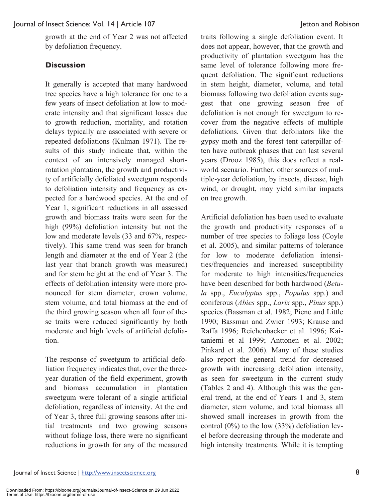growth at the end of Year 2 was not affected by defoliation frequency.

## **Discussion**

It generally is accepted that many hardwood tree species have a high tolerance for one to a few years of insect defoliation at low to moderate intensity and that significant losses due to growth reduction, mortality, and rotation delays typically are associated with severe or repeated defoliations (Kulman 1971). The results of this study indicate that, within the context of an intensively managed shortrotation plantation, the growth and productivity of artificially defoliated sweetgum responds to defoliation intensity and frequency as expected for a hardwood species. At the end of Year 1, significant reductions in all assessed growth and biomass traits were seen for the high (99%) defoliation intensity but not the low and moderate levels (33 and 67%, respectively). This same trend was seen for branch length and diameter at the end of Year 2 (the last year that branch growth was measured) and for stem height at the end of Year 3. The effects of defoliation intensity were more pronounced for stem diameter, crown volume, stem volume, and total biomass at the end of the third growing season when all four of these traits were reduced significantly by both moderate and high levels of artificial defoliation.

The response of sweetgum to artificial defoliation frequency indicates that, over the threeyear duration of the field experiment, growth and biomass accumulation in plantation sweetgum were tolerant of a single artificial defoliation, regardless of intensity. At the end of Year 3, three full growing seasons after initial treatments and two growing seasons without foliage loss, there were no significant reductions in growth for any of the measured

traits following a single defoliation event. It does not appear, however, that the growth and productivity of plantation sweetgum has the same level of tolerance following more frequent defoliation. The significant reductions in stem height, diameter, volume, and total biomass following two defoliation events suggest that one growing season free of defoliation is not enough for sweetgum to recover from the negative effects of multiple defoliations. Given that defoliators like the gypsy moth and the forest tent caterpillar often have outbreak phases that can last several years (Drooz 1985), this does reflect a realworld scenario. Further, other sources of multiple-year defoliation, by insects, disease, high wind, or drought, may yield similar impacts on tree growth.

Artificial defoliation has been used to evaluate the growth and productivity responses of a number of tree species to foliage loss (Coyle et al. 2005), and similar patterns of tolerance for low to moderate defoliation intensities/frequencies and increased susceptibility for moderate to high intensities/frequencies have been described for both hardwood (*Betula* spp., *Eucalyptus* spp., *Populus* spp.) and coniferous (*Abies* spp., *Larix* spp., *Pinus* spp.) species (Bassman et al. 1982; Piene and Little 1990; Bassman and Zwier 1993; Krause and Raffa 1996; Reichenbacker et al. 1996; Kaitaniemi et al 1999; Anttonen et al. 2002; Pinkard et al. 2006). Many of these studies also report the general trend for decreased growth with increasing defoliation intensity, as seen for sweetgum in the current study (Tables 2 and 4). Although this was the general trend, at the end of Years 1 and 3, stem diameter, stem volume, and total biomass all showed small increases in growth from the control  $(0\%)$  to the low  $(33\%)$  defoliation level before decreasing through the moderate and high intensity treatments. While it is tempting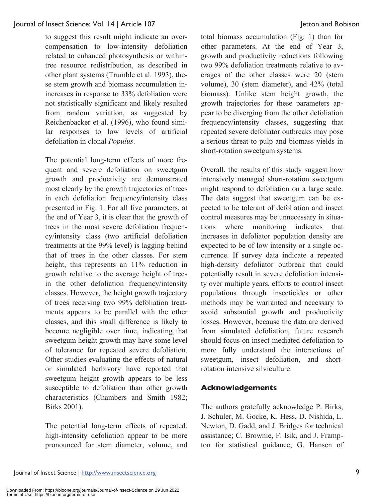to suggest this result might indicate an overcompensation to low-intensity defoliation related to enhanced photosynthesis or withintree resource redistribution, as described in other plant systems (Trumble et al. 1993), these stem growth and biomass accumulation inincreases in response to 33% defoliation were not statistically significant and likely resulted from random variation, as suggested by Reichenbacker et al. (1996), who found similar responses to low levels of artificial defoliation in clonal *Populus*.

The potential long-term effects of more frequent and severe defoliation on sweetgum growth and productivity are demonstrated most clearly by the growth trajectories of trees in each defoliation frequency/intensity class presented in Fig. 1. For all five parameters, at the end of Year 3, it is clear that the growth of trees in the most severe defoliation frequency/intensity class (two artificial defoliation treatments at the 99% level) is lagging behind that of trees in the other classes. For stem height, this represents an 11% reduction in growth relative to the average height of trees in the other defoliation frequency/intensity classes. However, the height growth trajectory of trees receiving two 99% defoliation treatments appears to be parallel with the other classes, and this small difference is likely to become negligible over time, indicating that sweetgum height growth may have some level of tolerance for repeated severe defoliation. Other studies evaluating the effects of natural or simulated herbivory have reported that sweetgum height growth appears to be less susceptible to defoliation than other growth characteristics (Chambers and Smith 1982; Birks 2001).

The potential long-term effects of repeated, high-intensity defoliation appear to be more pronounced for stem diameter, volume, and

total biomass accumulation (Fig. 1) than for other parameters. At the end of Year 3, growth and productivity reductions following two 99% defoliation treatments relative to averages of the other classes were 20 (stem volume), 30 (stem diameter), and 42% (total biomass). Unlike stem height growth, the growth trajectories for these parameters appear to be diverging from the other defoliation frequency/intensity classes, suggesting that repeated severe defoliator outbreaks may pose a serious threat to pulp and biomass yields in short-rotation sweetgum systems.

Overall, the results of this study suggest how intensively managed short-rotation sweetgum might respond to defoliation on a large scale. The data suggest that sweetgum can be expected to be tolerant of defoliation and insect control measures may be unnecessary in situations where monitoring indicates that increases in defoliator population density are expected to be of low intensity or a single occurrence. If survey data indicate a repeated high-density defoliator outbreak that could potentially result in severe defoliation intensity over multiple years, efforts to control insect populations through insecticides or other methods may be warranted and necessary to avoid substantial growth and productivity losses. However, because the data are derived from simulated defoliation, future research should focus on insect-mediated defoliation to more fully understand the interactions of sweetgum, insect defoliation, and shortrotation intensive silviculture.

## **Acknowledgements**

The authors gratefully acknowledge P. Birks, J. Schuler, M. Gocke, K. Hess, D. Nishida, L. Newton, D. Gadd, and J. Bridges for technical assistance; C. Brownie, F. Isik, and J. Frampton for statistical guidance; G. Hansen of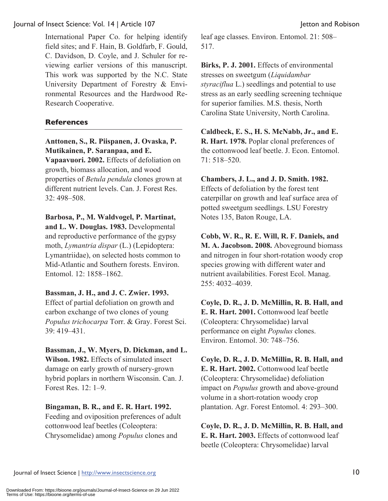International Paper Co. for helping identify field sites; and F. Hain, B. Goldfarb, F. Gould, C. Davidson, D. Coyle, and J. Schuler for reviewing earlier versions of this manuscript. This work was supported by the N.C. State University Department of Forestry & Environmental Resources and the Hardwood Re-Research Cooperative.

## **References**

## **Anttonen, S., R. Piispanen, J. Ovaska, P. Mutikainen, P. Saranpaa, and E.**

**Vapaavuori. 2002.** Effects of defoliation on growth, biomass allocation, and wood properties of *Betula pendula* clones grown at different nutrient levels. Can. J. Forest Res. 32: 498–508.

## **Barbosa, P., M. Waldvogel, P. Martinat,**

**and L. W. Douglas. 1983.** Developmental and reproductive performance of the gypsy moth, *Lymantria dispar* (L.) (Lepidoptera: Lymantriidae), on selected hosts common to Mid-Atlantic and Southern forests. Environ. Entomol. 12: 1858–1862.

## **Bassman, J. H., and J. C. Zwier. 1993.**

Effect of partial defoliation on growth and carbon exchange of two clones of young *Populus trichocarpa* Torr. & Gray. Forest Sci. 39: 419–431.

## **Bassman, J., W. Myers, D. Dickman, and L. Wilson. 1982.** Effects of simulated insect damage on early growth of nursery-grown hybrid poplars in northern Wisconsin. Can. J. Forest Res. 12: 1–9.

## **Bingaman, B. R., and E. R. Hart. 1992.**

Feeding and oviposition preferences of adult cottonwood leaf beetles (Coleoptera: Chrysomelidae) among *Populus* clones and

leaf age classes. Environ. Entomol. 21: 508– 517.

**Birks, P. J. 2001.** Effects of environmental stresses on sweetgum (*Liquidambar styraciflua* L.) seedlings and potential to use stress as an early seedling screening technique for superior families. M.S. thesis, North Carolina State University, North Carolina.

**Caldbeck, E. S., H. S. McNabb, Jr., and E. R. Hart. 1978.** Poplar clonal preferences of the cottonwood leaf beetle. J. Econ. Entomol. 71: 518–520.

**Chambers, J. L., and J. D. Smith. 1982.** Effects of defoliation by the forest tent caterpillar on growth and leaf surface area of potted sweetgum seedlings. LSU Forestry Notes 135, Baton Rouge, LA.

**Cobb, W. R., R. E. Will, R. F. Daniels, and M. A. Jacobson. 2008.** Aboveground biomass and nitrogen in four short-rotation woody crop species growing with different water and nutrient availabilities. Forest Ecol. Manag. 255: 4032–4039.

**Coyle, D. R., J. D. McMillin, R. B. Hall, and E. R. Hart. 2001.** Cottonwood leaf beetle (Coleoptera: Chrysomelidae) larval performance on eight *Populus* clones. Environ. Entomol. 30: 748–756.

**Coyle, D. R., J. D. McMillin, R. B. Hall, and E. R. Hart. 2002.** Cottonwood leaf beetle (Coleoptera: Chrysomelidae) defoliation impact on *Populus* growth and above-ground volume in a short-rotation woody crop plantation. Agr. Forest Entomol. 4: 293–300.

**Coyle, D. R., J. D. McMillin, R. B. Hall, and E. R. Hart. 2003.** Effects of cottonwood leaf beetle (Coleoptera: Chrysomelidae) larval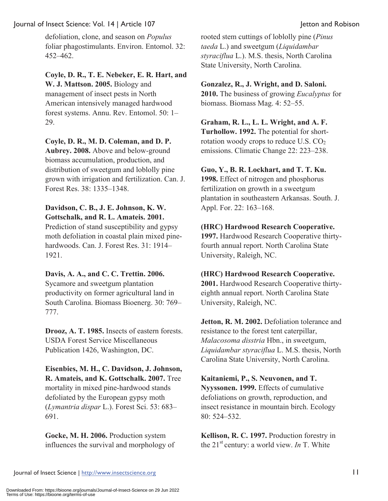defoliation, clone, and season on *Populus* foliar phagostimulants. Environ. Entomol. 32: 452–462.

**Coyle, D. R., T. E. Nebeker, E. R. Hart, and W. J. Mattson. 2005.** Biology and management of insect pests in North American intensively managed hardwood forest systems. Annu. Rev. Entomol. 50: 1– 29.

**Coyle, D. R., M. D. Coleman, and D. P. Aubrey. 2008.** Above and below-ground biomass accumulation, production, and distribution of sweetgum and loblolly pine grown with irrigation and fertilization. Can. J.

Forest Res. 38: 1335–1348.

#### **Davidson, C. B., J. E. Johnson, K. W. Gottschalk, and R. L. Amateis. 2001.**

Prediction of stand susceptibility and gypsy moth defoliation in coastal plain mixed pinehardwoods. Can. J. Forest Res. 31: 1914– 1921.

## **Davis, A. A., and C. C. Trettin. 2006.**

Sycamore and sweetgum plantation productivity on former agricultural land in South Carolina. Biomass Bioenerg. 30: 769– 777.

**Drooz, A. T. 1985.** Insects of eastern forests. USDA Forest Service Miscellaneous Publication 1426, Washington, DC.

**Eisenbies, M. H., C. Davidson, J. Johnson, R. Amateis, and K. Gottschalk. 2007.** Tree mortality in mixed pine-hardwood stands defoliated by the European gypsy moth (*Lymantria dispar* L.). Forest Sci. 53: 683– 691.

**Gocke, M. H. 2006.** Production system influences the survival and morphology of

rooted stem cuttings of loblolly pine (*Pinus taeda* L.) and sweetgum (*Liquidambar styraciflua* L.). M.S. thesis, North Carolina State University, North Carolina.

## **Gonzalez, R., J. Wright, and D. Saloni.**

**2010.** The business of growing *Eucalyptus* for biomass. Biomass Mag. 4: 52–55.

**Graham, R. L., L. L. Wright, and A. F. Turhollow. 1992.** The potential for shortrotation woody crops to reduce U.S.  $CO<sub>2</sub>$ 

emissions. Climatic Change 22: 223–238.

## **Guo, Y., B. R. Lockhart, and T. T. Ku.**

**1998.** Effect of nitrogen and phosphorus fertilization on growth in a sweetgum plantation in southeastern Arkansas. South. J. Appl. For. 22: 163–168.

## **(HRC) Hardwood Research Cooperative.**

**1997.** Hardwood Research Cooperative thirtyfourth annual report. North Carolina State University, Raleigh, NC.

## **(HRC) Hardwood Research Cooperative.**

**2001.** Hardwood Research Cooperative thirtyeighth annual report. North Carolina State University, Raleigh, NC.

**Jetton, R. M. 2002.** Defoliation tolerance and resistance to the forest tent caterpillar, *Malacosoma disstria* Hbn., in sweetgum, *Liquidambar styraciflua* L. M.S. thesis, North Carolina State University, North Carolina.

**Kaitaniemi, P., S. Neuvonen, and T. Nyyssonen. 1999.** Effects of cumulative defoliations on growth, reproduction, and insect resistance in mountain birch. Ecology 80: 524–532.

**Kellison, R. C. 1997.** Production forestry in the 21st century: a world view. *In* T. White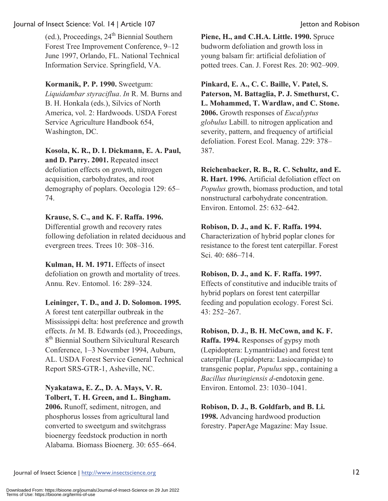(ed.), Proceedings,  $24<sup>th</sup>$  Biennial Southern Forest Tree Improvement Conference, 9–12 June 1997, Orlando, FL. National Technical Information Service. Springfield, VA.

**Kormanik, P. P. 1990.** Sweetgum: *Liquidambar styraciflua*. *In* R. M. Burns and B. H. Honkala (eds.), Silvics of North America, vol. 2: Hardwoods. USDA Forest Service Agriculture Handbook 654,

Washington, DC.

**Kosola, K. R., D. I. Dickmann, E. A. Paul, and D. Parry. 2001.** Repeated insect defoliation effects on growth, nitrogen acquisition, carbohydrates, and root demography of poplars. Oecologia 129: 65– 74.

## **Krause, S. C., and K. F. Raffa. 1996.**

Differential growth and recovery rates following defoliation in related deciduous and evergreen trees. Trees 10: 308–316.

**Kulman, H. M. 1971.** Effects of insect defoliation on growth and mortality of trees. Annu. Rev. Entomol. 16: 289–324.

**Leininger, T. D., and J. D. Solomon. 1995.** A forest tent caterpillar outbreak in the Mississippi delta: host preference and growth effects. *In* M. B. Edwards (ed.), Proceedings, 8<sup>th</sup> Biennial Southern Silvicultural Research Conference, 1–3 November 1994, Auburn, AL. USDA Forest Service General Technical Report SRS-GTR-1, Asheville, NC.

## **Nyakatawa, E. Z., D. A. Mays, V. R. Tolbert, T. H. Green, and L. Bingham.**

**2006.** Runoff, sediment, nitrogen, and phosphorus losses from agricultural land converted to sweetgum and switchgrass bioenergy feedstock production in north Alabama. Biomass Bioenerg. 30: 655–664.

**Piene, H., and C.H.A. Little. 1990.** Spruce budworm defoliation and growth loss in young balsam fir: artificial defoliation of potted trees. Can. J. Forest Res. 20: 902–909.

**Pinkard, E. A., C. C. Baille, V. Patel, S. Paterson, M. Battaglia, P. J. Smethurst, C. L. Mohammed, T. Wardlaw, and C. Stone. 2006.** Growth responses of *Eucalyptus globulus* Labill. to nitrogen application and severity, pattern, and frequency of artificial defoliation. Forest Ecol. Manag. 229: 378– 387.

**Reichenbacker, R. B., R. C. Schultz, and E. R. Hart. 1996.** Artificial defoliation effect on *Populus* growth, biomass production, and total nonstructural carbohydrate concentration. Environ. Entomol. 25: 632–642.

## **Robison, D. J., and K. F. Raffa. 1994.**

Characterization of hybrid poplar clones for resistance to the forest tent caterpillar. Forest Sci. 40: 686–714.

## **Robison, D. J., and K. F. Raffa. 1997.**

Effects of constitutive and inducible traits of hybrid poplars on forest tent caterpillar feeding and population ecology. Forest Sci. 43: 252–267.

## **Robison, D. J., B. H. McCown, and K. F.**

**Raffa. 1994.** Responses of gypsy moth (Lepidoptera: Lymantriidae) and forest tent caterpillar (Lepidoptera: Lasiocampidae) to transgenic poplar, *Populus* spp., containing a *Bacillus thuringiensis d*-endotoxin gene. Environ. Entomol. 23: 1030–1041.

**Robison, D. J., B. Goldfarb, and B. Li. 1998.** Advancing hardwood production forestry. PaperAge Magazine: May Issue.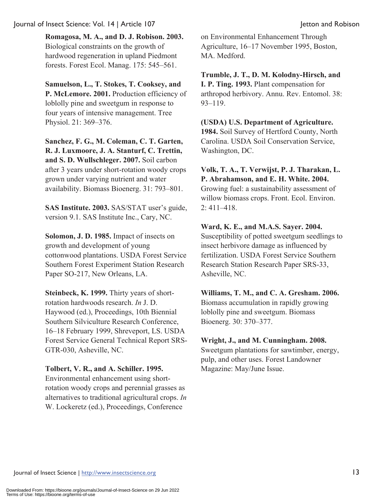**Romagosa, M. A., and D. J. Robison. 2003.** Biological constraints on the growth of hardwood regeneration in upland Piedmont forests. Forest Ecol. Manag. 175: 545–561.

**Samuelson, L., T. Stokes, T. Cooksey, and P. McLemore. 2001.** Production efficiency of loblolly pine and sweetgum in response to four years of intensive management. Tree Physiol. 21: 369–376.

**Sanchez, F. G., M. Coleman, C. T. Garten, R. J. Luxmoore, J. A. Stanturf, C. Trettin, and S. D. Wullschleger. 2007.** Soil carbon after 3 years under short-rotation woody crops grown under varying nutrient and water availability. Biomass Bioenerg. 31: 793–801.

**SAS Institute. 2003.** SAS/STAT user's guide, version 9.1. SAS Institute Inc., Cary, NC.

**Solomon, J. D. 1985.** Impact of insects on growth and development of young cottonwood plantations. USDA Forest Service Southern Forest Experiment Station Research Paper SO-217, New Orleans, LA.

**Steinbeck, K. 1999.** Thirty years of shortrotation hardwoods research. *In* J. D. Haywood (ed.), Proceedings, 10th Biennial Southern Silviculture Research Conference, 16–18 February 1999, Shreveport, LS. USDA Forest Service General Technical Report SRS-GTR-030, Asheville, NC.

## **Tolbert, V. R., and A. Schiller. 1995.**

Environmental enhancement using shortrotation woody crops and perennial grasses as alternatives to traditional agricultural crops. *In* W. Lockeretz (ed.), Proceedings, Conference

on Environmental Enhancement Through Agriculture, 16–17 November 1995, Boston, MA. Medford.

**Trumble, J. T., D. M. Kolodny-Hirsch, and I. P. Ting. 1993.** Plant compensation for arthropod herbivory. Annu. Rev. Entomol. 38: 93–119.

**(USDA) U.S. Department of Agriculture. 1984.** Soil Survey of Hertford County, North Carolina. USDA Soil Conservation Service, Washington, DC.

**Volk, T. A., T. Verwijst, P. J. Tharakan, L. P. Abrahamson, and E. H. White. 2004.**  Growing fuel: a sustainability assessment of willow biomass crops. Front. Ecol. Environ. 2: 411–418.

## **Ward, K. E., and M.A.S. Sayer. 2004.**

Susceptibility of potted sweetgum seedlings to insect herbivore damage as influenced by fertilization. USDA Forest Service Southern Research Station Research Paper SRS-33, Asheville, NC.

**Williams, T. M., and C. A. Gresham. 2006.** Biomass accumulation in rapidly growing loblolly pine and sweetgum. Biomass Bioenerg. 30: 370–377.

## **Wright, J., and M. Cunningham. 2008.**

Sweetgum plantations for sawtimber, energy, pulp, and other uses. Forest Landowner Magazine: May/June Issue.